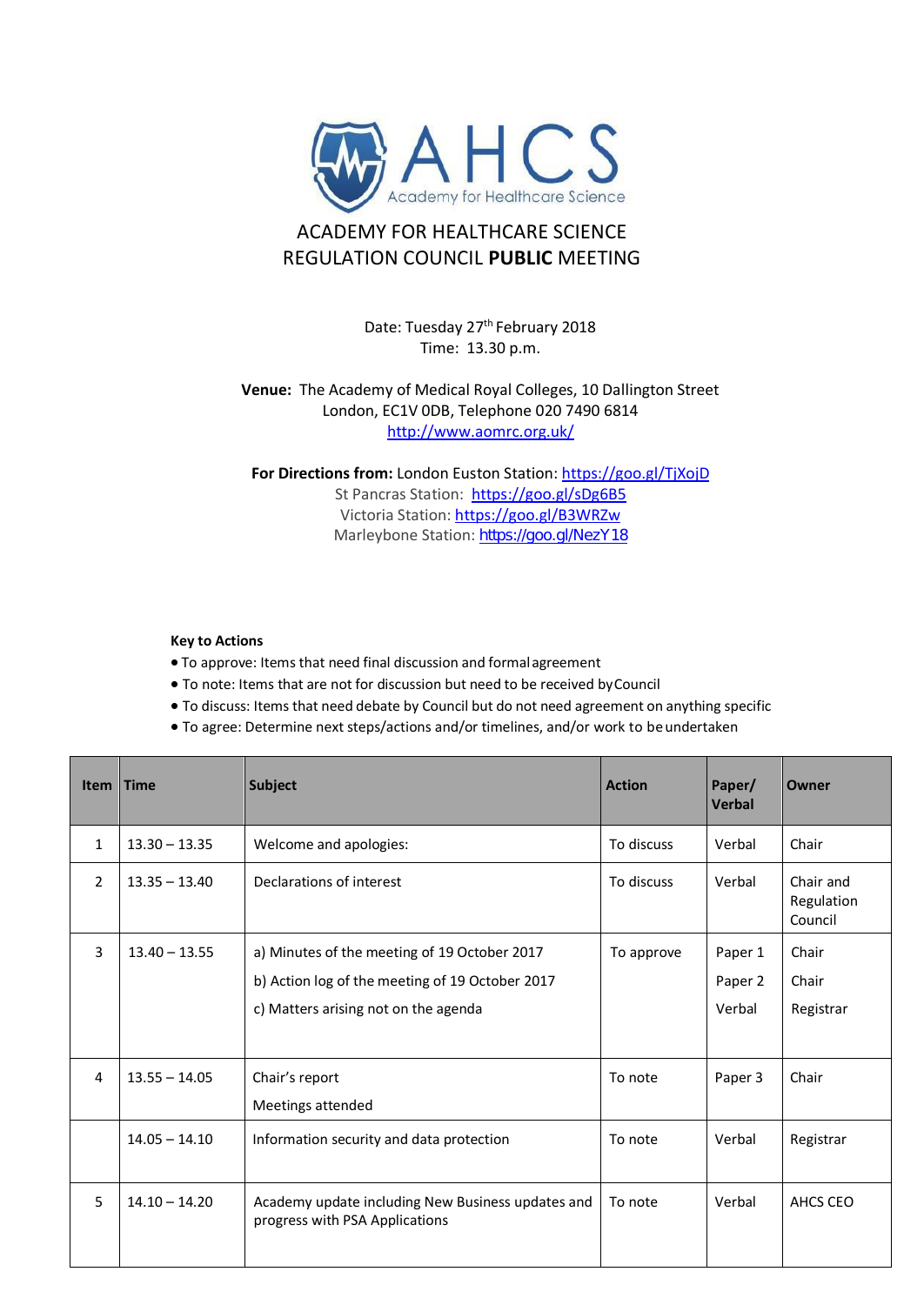

## ACADEMY FOR HEALTHCARE SCIENCE REGULATION COUNCIL **PUBLIC** MEETING

Date: Tuesday 27<sup>th</sup> February 2018 Time: 13.30 p.m.

## **Venue:** The Academy of Medical Royal Colleges, 10 Dallington Street London, EC1V 0DB, Telephone 020 7490 6814 <http://www.aomrc.org.uk/>

**For Directions from:** London Euston Station: <https://goo.gl/TjXojD> St Pancras Station: <https://goo.gl/sDg6B5> Victoria Station:<https://goo.gl/B3WRZw> Marleybone Station: <https://goo.gl/NezY18>

## **Key to Actions**

- To approve: Items that need final discussion and formalagreement
- To note: Items that are not for discussion but need to be received byCouncil
- To discuss: Items that need debate by Council but do not need agreement on anything specific
- To agree: Determine next steps/actions and/or timelines, and/or work to beundertaken

| <b>Item</b>    | <b>Time</b>     | <b>Subject</b>                                                                      | <b>Action</b> | Paper/<br><b>Verbal</b> | Owner                              |
|----------------|-----------------|-------------------------------------------------------------------------------------|---------------|-------------------------|------------------------------------|
| $\mathbf{1}$   | $13.30 - 13.35$ | Welcome and apologies:                                                              | To discuss    | Verbal                  | Chair                              |
| $\overline{2}$ | $13.35 - 13.40$ | Declarations of interest                                                            | To discuss    | Verbal                  | Chair and<br>Regulation<br>Council |
| 3              | $13.40 - 13.55$ | a) Minutes of the meeting of 19 October 2017                                        | To approve    | Paper 1                 | Chair                              |
|                |                 | b) Action log of the meeting of 19 October 2017                                     |               | Paper 2                 | Chair                              |
|                |                 | c) Matters arising not on the agenda                                                |               | Verbal                  | Registrar                          |
|                |                 |                                                                                     |               |                         |                                    |
| $\overline{4}$ | $13.55 - 14.05$ | Chair's report                                                                      | To note       | Paper 3                 | Chair                              |
|                |                 | Meetings attended                                                                   |               |                         |                                    |
|                | $14.05 - 14.10$ | Information security and data protection                                            | To note       | Verbal                  | Registrar                          |
| 5              | $14.10 - 14.20$ | Academy update including New Business updates and<br>progress with PSA Applications | To note       | Verbal                  | AHCS CEO                           |